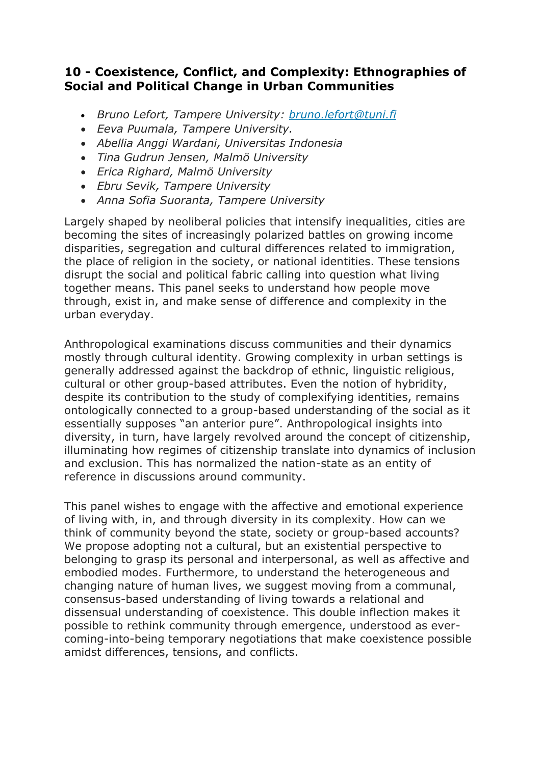## **10 - Coexistence, Conflict, and Complexity: Ethnographies of Social and Political Change in Urban Communities**

- *Bruno Lefort, Tampere University: [bruno.lefort@tuni.fi](mailto:bruno.lefort@tuni.fi)*
- *Eeva Puumala, Tampere University.*
- *Abellia Anggi Wardani, Universitas Indonesia*
- *Tina Gudrun Jensen, Malmö University*
- *Erica Righard, Malmö University*
- *Ebru Sevik, Tampere University*
- *Anna Sofia Suoranta, Tampere University*

Largely shaped by neoliberal policies that intensify inequalities, cities are becoming the sites of increasingly polarized battles on growing income disparities, segregation and cultural differences related to immigration, the place of religion in the society, or national identities. These tensions disrupt the social and political fabric calling into question what living together means. This panel seeks to understand how people move through, exist in, and make sense of difference and complexity in the urban everyday.

Anthropological examinations discuss communities and their dynamics mostly through cultural identity. Growing complexity in urban settings is generally addressed against the backdrop of ethnic, linguistic religious, cultural or other group-based attributes. Even the notion of hybridity, despite its contribution to the study of complexifying identities, remains ontologically connected to a group-based understanding of the social as it essentially supposes "an anterior pure". Anthropological insights into diversity, in turn, have largely revolved around the concept of citizenship, illuminating how regimes of citizenship translate into dynamics of inclusion and exclusion. This has normalized the nation-state as an entity of reference in discussions around community.

This panel wishes to engage with the affective and emotional experience of living with, in, and through diversity in its complexity. How can we think of community beyond the state, society or group-based accounts? We propose adopting not a cultural, but an existential perspective to belonging to grasp its personal and interpersonal, as well as affective and embodied modes. Furthermore, to understand the heterogeneous and changing nature of human lives, we suggest moving from a communal, consensus-based understanding of living towards a relational and dissensual understanding of coexistence. This double inflection makes it possible to rethink community through emergence, understood as evercoming-into-being temporary negotiations that make coexistence possible amidst differences, tensions, and conflicts.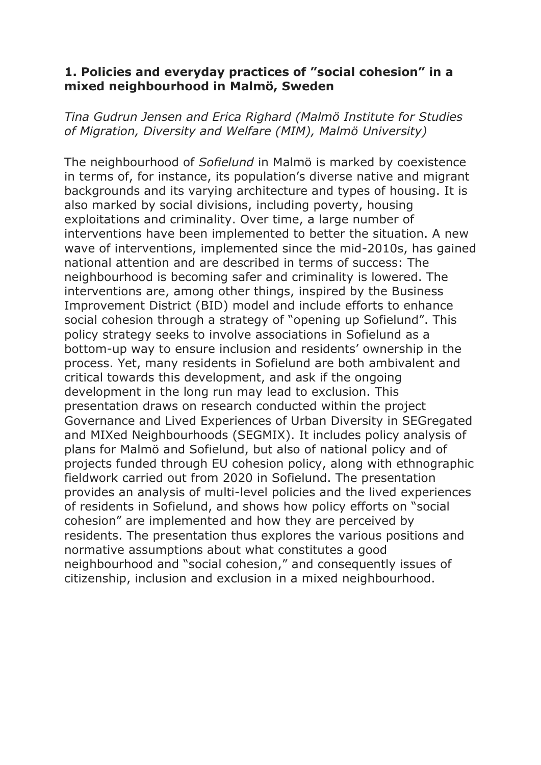## **1. Policies and everyday practices of "social cohesion" in a mixed neighbourhood in Malmö, Sweden**

*Tina Gudrun Jensen and Erica Righard (Malmö Institute for Studies of Migration, Diversity and Welfare (MIM), Malmö University)*

The neighbourhood of *Sofielund* in Malmö is marked by coexistence in terms of, for instance, its population's diverse native and migrant backgrounds and its varying architecture and types of housing. It is also marked by social divisions, including poverty, housing exploitations and criminality. Over time, a large number of interventions have been implemented to better the situation. A new wave of interventions, implemented since the mid-2010s, has gained national attention and are described in terms of success: The neighbourhood is becoming safer and criminality is lowered. The interventions are, among other things, inspired by the Business Improvement District (BID) model and include efforts to enhance social cohesion through a strategy of "opening up Sofielund". This policy strategy seeks to involve associations in Sofielund as a bottom-up way to ensure inclusion and residents' ownership in the process. Yet, many residents in Sofielund are both ambivalent and critical towards this development, and ask if the ongoing development in the long run may lead to exclusion. This presentation draws on research conducted within the project Governance and Lived Experiences of Urban Diversity in SEGregated and MIXed Neighbourhoods (SEGMIX). It includes policy analysis of plans for Malmö and Sofielund, but also of national policy and of projects funded through EU cohesion policy, along with ethnographic fieldwork carried out from 2020 in Sofielund. The presentation provides an analysis of multi-level policies and the lived experiences of residents in Sofielund, and shows how policy efforts on "social cohesion" are implemented and how they are perceived by residents. The presentation thus explores the various positions and normative assumptions about what constitutes a good neighbourhood and "social cohesion," and consequently issues of citizenship, inclusion and exclusion in a mixed neighbourhood.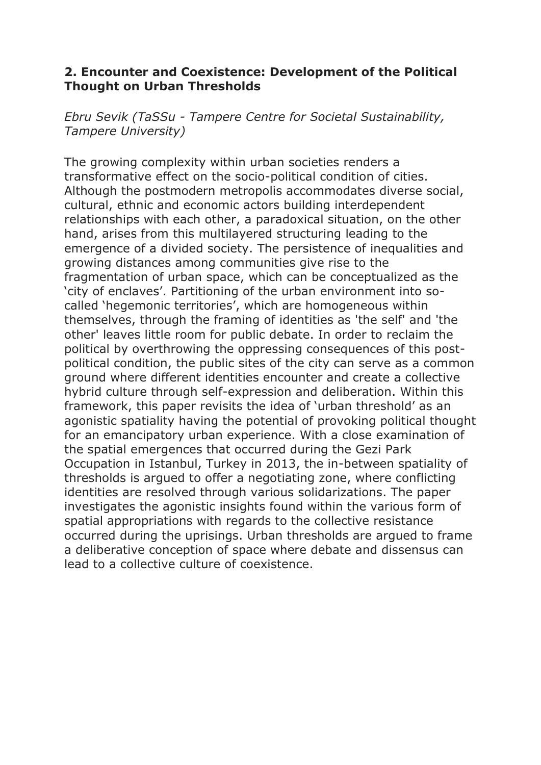## **2. Encounter and Coexistence: Development of the Political Thought on Urban Thresholds**

*Ebru Sevik (TaSSu - Tampere Centre for Societal Sustainability, Tampere University)*

The growing complexity within urban societies renders a transformative effect on the socio-political condition of cities. Although the postmodern metropolis accommodates diverse social, cultural, ethnic and economic actors building interdependent relationships with each other, a paradoxical situation, on the other hand, arises from this multilayered structuring leading to the emergence of a divided society. The persistence of inequalities and growing distances among communities give rise to the fragmentation of urban space, which can be conceptualized as the 'city of enclaves'. Partitioning of the urban environment into socalled 'hegemonic territories', which are homogeneous within themselves, through the framing of identities as 'the self' and 'the other' leaves little room for public debate. In order to reclaim the political by overthrowing the oppressing consequences of this postpolitical condition, the public sites of the city can serve as a common ground where different identities encounter and create a collective hybrid culture through self-expression and deliberation. Within this framework, this paper revisits the idea of 'urban threshold' as an agonistic spatiality having the potential of provoking political thought for an emancipatory urban experience. With a close examination of the spatial emergences that occurred during the Gezi Park Occupation in Istanbul, Turkey in 2013, the in-between spatiality of thresholds is argued to offer a negotiating zone, where conflicting identities are resolved through various solidarizations. The paper investigates the agonistic insights found within the various form of spatial appropriations with regards to the collective resistance occurred during the uprisings. Urban thresholds are argued to frame a deliberative conception of space where debate and dissensus can lead to a collective culture of coexistence.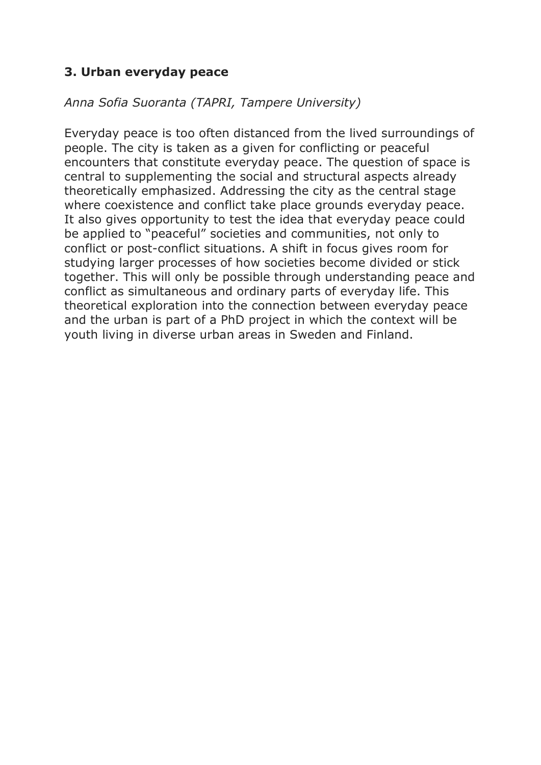# **3. Urban everyday peace**

## *Anna Sofia Suoranta (TAPRI, Tampere University)*

Everyday peace is too often distanced from the lived surroundings of people. The city is taken as a given for conflicting or peaceful encounters that constitute everyday peace. The question of space is central to supplementing the social and structural aspects already theoretically emphasized. Addressing the city as the central stage where coexistence and conflict take place grounds everyday peace. It also gives opportunity to test the idea that everyday peace could be applied to "peaceful" societies and communities, not only to conflict or post-conflict situations. A shift in focus gives room for studying larger processes of how societies become divided or stick together. This will only be possible through understanding peace and conflict as simultaneous and ordinary parts of everyday life. This theoretical exploration into the connection between everyday peace and the urban is part of a PhD project in which the context will be youth living in diverse urban areas in Sweden and Finland.